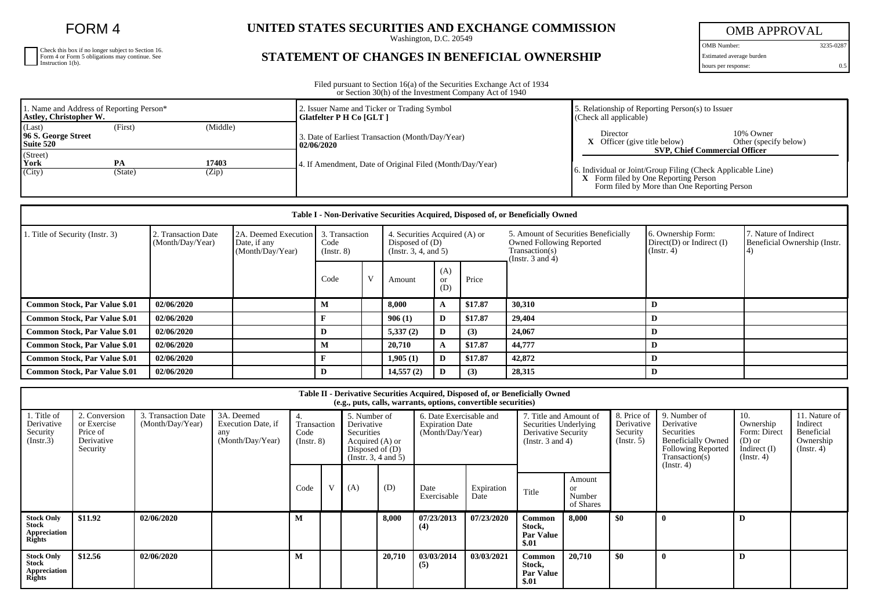FORM 4

Check this box if no longer subject to Section 16. Form 4 or Form 5 obligations may continue. See Instruction 1(b).

## **UNITED STATES SECURITIES AND EXCHANGE COMMISSION**

Washington, D.C. 20549

## **STATEMENT OF CHANGES IN BENEFICIAL OWNERSHIP**

OMB APPROVAL OMB Number: 3235-0287

Estimated average burden

hours per response: 0.5

Filed pursuant to Section 16(a) of the Securities Exchange Act of 1934 or Section 30(h) of the Investment Company Act of 1940

| 1. Name and Address of Reporting Person*<br>Astley, Christopher W. |         |          | 2. Issuer Name and Ticker or Trading Symbol<br>Glatfelter P H Co [GLT] | 5. Relationship of Reporting Person(s) to Issuer<br>$\Box$ (Check all applicable)                                                                          |  |  |  |
|--------------------------------------------------------------------|---------|----------|------------------------------------------------------------------------|------------------------------------------------------------------------------------------------------------------------------------------------------------|--|--|--|
| (Last)<br>96 S. George Street<br>Suite 520                         | (First) | (Middle) | 3. Date of Earliest Transaction (Month/Day/Year)<br>02/06/2020         | 10% Owner<br>Director<br>Other (specify below)<br>Officer (give title below)                                                                               |  |  |  |
| (Street)<br>York                                                   | PA      | 17403    | 4. If Amendment, Date of Original Filed (Month/Day/Year)               | <b>SVP, Chief Commercial Officer</b>                                                                                                                       |  |  |  |
| (City)                                                             | (State) | (Zip)    |                                                                        | 6. Individual or Joint/Group Filing (Check Applicable Line)<br><b>X</b> Form filed by One Reporting Person<br>Form filed by More than One Reporting Person |  |  |  |

| Table I - Non-Derivative Securities Acquired, Disposed of, or Beneficially Owned |                                         |                                                          |                                           |              |                                                                            |                  |         |                                                                                                                    |                                                                   |                                                       |  |  |
|----------------------------------------------------------------------------------|-----------------------------------------|----------------------------------------------------------|-------------------------------------------|--------------|----------------------------------------------------------------------------|------------------|---------|--------------------------------------------------------------------------------------------------------------------|-------------------------------------------------------------------|-------------------------------------------------------|--|--|
| 1. Title of Security (Instr. 3)                                                  | 2. Transaction Date<br>(Month/Day/Year) | 2A. Deemed Execution<br>Date, if any<br>(Month/Day/Year) | 3. Transaction<br>Code<br>$($ Instr. $8)$ |              | 4. Securities Acquired (A) or<br>Disposed of $(D)$<br>(Instr. 3, 4, and 5) |                  |         | 5. Amount of Securities Beneficially<br><b>Owned Following Reported</b><br>Transaction(s)<br>(Instr. $3$ and $4$ ) | 6. Ownership Form:<br>$Direct(D)$ or Indirect $(I)$<br>(Instr. 4) | 7. Nature of Indirect<br>Beneficial Ownership (Instr. |  |  |
|                                                                                  |                                         |                                                          | Code                                      | $\mathbf{V}$ | Amount                                                                     | (A)<br>or<br>(D) | Price   |                                                                                                                    |                                                                   |                                                       |  |  |
| <b>Common Stock, Par Value \$.01</b>                                             | 02/06/2020                              |                                                          | М                                         |              | 8,000                                                                      | A                | \$17.87 | 30,310                                                                                                             | D                                                                 |                                                       |  |  |
| <b>Common Stock, Par Value \$.01</b>                                             | 02/06/2020                              |                                                          |                                           |              | 906(1)                                                                     | D                | \$17.87 | 29,404                                                                                                             | D                                                                 |                                                       |  |  |
| <b>Common Stock, Par Value \$.01</b>                                             | 02/06/2020                              |                                                          | D                                         |              | 5,337(2)                                                                   | D                | (3)     | 24,067                                                                                                             | D                                                                 |                                                       |  |  |
| Common Stock, Par Value \$.01                                                    | 02/06/2020                              |                                                          | М                                         |              | 20,710                                                                     | A                | \$17.87 | 44,777                                                                                                             | D                                                                 |                                                       |  |  |
| <b>Common Stock, Par Value \$.01</b>                                             | 02/06/2020                              |                                                          |                                           |              | 1,905(1)                                                                   | D                | \$17.87 | 42,872                                                                                                             | D                                                                 |                                                       |  |  |
| <b>Common Stock, Par Value \$.01</b>                                             | 02/06/2020                              |                                                          | D                                         |              | 14,557(2)                                                                  | D                | (3)     | 28,315                                                                                                             | D                                                                 |                                                       |  |  |

| Table II - Derivative Securities Acquired, Disposed of, or Beneficially Owned<br>(e.g., puts, calls, warrants, options, convertible securities) |                                                                    |                                         |                                                             |                                   |   |                                                                                                          |        |                                                                       |                    |                                                                                                 |                                            |                                                     |                                                                                                                      |                                                                                    |                                                                          |
|-------------------------------------------------------------------------------------------------------------------------------------------------|--------------------------------------------------------------------|-----------------------------------------|-------------------------------------------------------------|-----------------------------------|---|----------------------------------------------------------------------------------------------------------|--------|-----------------------------------------------------------------------|--------------------|-------------------------------------------------------------------------------------------------|--------------------------------------------|-----------------------------------------------------|----------------------------------------------------------------------------------------------------------------------|------------------------------------------------------------------------------------|--------------------------------------------------------------------------|
| . Title of<br>Derivative<br>Security<br>(Insert.3)                                                                                              | 2. Conversion<br>or Exercise<br>Price of<br>Derivative<br>Security | 3. Transaction Date<br>(Month/Day/Year) | 3A. Deemed<br>Execution Date, if<br>any<br>(Month/Day/Year) | Transaction<br>Code<br>(Insert 8) |   | 5. Number of<br>Derivative<br>Securities<br>Acquired (A) or<br>Disposed of $(D)$<br>(Insert. 3, 4 and 5) |        | 6. Date Exercisable and<br><b>Expiration Date</b><br>(Month/Day/Year) |                    | 7. Title and Amount of<br>Securities Underlying<br>Derivative Security<br>(Instr. $3$ and $4$ ) |                                            | 8. Price of<br>Derivative<br>Security<br>(Instr. 5) | 9. Number of<br>Derivative<br>Securities<br><b>Beneficially Owned</b><br><b>Following Reported</b><br>Transaction(s) | 10.<br>Ownership<br>Form: Direct<br>$(D)$ or<br>Indirect $(I)$<br>$($ Instr. 4 $)$ | 11. Nature of<br>Indirect<br>Beneficial<br>Ownership<br>$($ Instr. 4 $)$ |
|                                                                                                                                                 |                                                                    |                                         |                                                             | Code                              | V | (A)                                                                                                      | (D)    | Date<br>Exercisable                                                   | Expiration<br>Date | Title                                                                                           | Amount<br><b>or</b><br>Number<br>of Shares |                                                     | (Insert. 4)                                                                                                          |                                                                                    |                                                                          |
| <b>Stock Only</b><br><b>Stock</b><br>Appreciation<br><b>Rights</b>                                                                              | \$11.92                                                            | 02/06/2020                              |                                                             | M                                 |   |                                                                                                          | 8,000  | 07/23/2013<br>(4)                                                     | 07/23/2020         | <b>Common</b><br>Stock,<br><b>Par Value</b><br>\$.01                                            | 8.000                                      | \$0                                                 |                                                                                                                      | D                                                                                  |                                                                          |
| <b>Stock Only</b><br>Stock<br>Appreciation<br><b>Rights</b>                                                                                     | \$12.56                                                            | 02/06/2020                              |                                                             | м                                 |   |                                                                                                          | 20,710 | 03/03/2014<br>(5)                                                     | 03/03/2021         | Common<br>Stock,<br><b>Par Value</b><br>\$.01                                                   | 20,710                                     | \$0                                                 | $\mathbf 0$                                                                                                          | D                                                                                  |                                                                          |